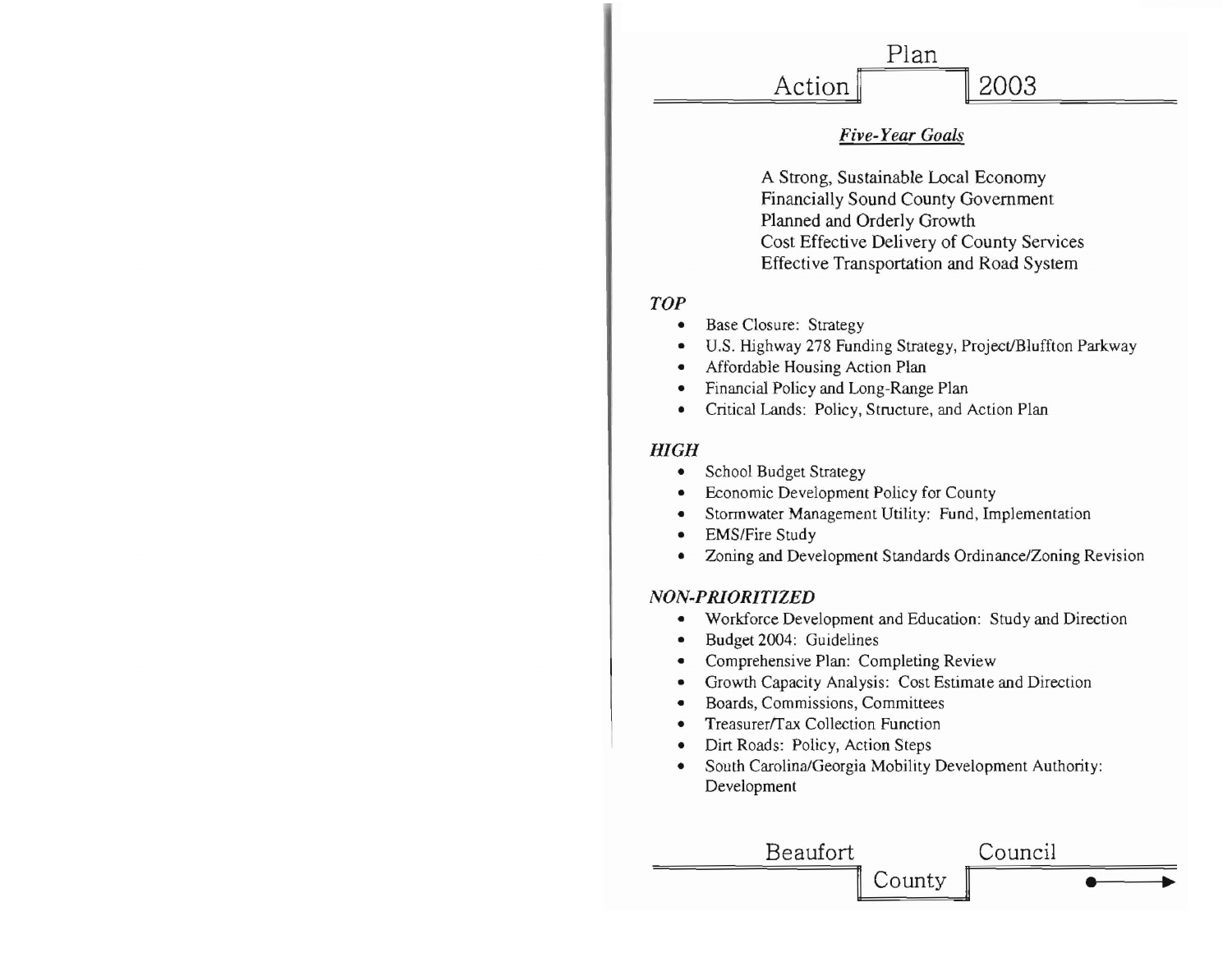

## **Five-Year Goals**

A Strong, Sustainable Local Economy **Financially Sound County Government** Planned and Orderly Growth Cost Effective Delivery of County Services Effective Transportation and Road System

## **TOP**

- **Base Closure: Strategy**
- U.S. Highway 278 Funding Strategy, Project/Bluffton Parkway
- Affordable Housing Action Plan
- Financial Policy and Long-Range Plan
- Critical Lands: Policy, Structure, and Action Plan  $\bullet$

## **HIGH**

- School Budget Strategy  $\bullet$
- Economic Development Policy for County
- Stormwater Management Utility: Fund, Implementation
- **EMS/Fire Study**
- Zoning and Development Standards Ordinance/Zoning Revision  $\bullet$

## NON-PRIORITIZED

- Workforce Development and Education: Study and Direction
- Budget 2004: Guidelines
- Comprehensive Plan: Completing Review
- Growth Capacity Analysis: Cost Estimate and Direction
- Boards, Commissions, Committees  $\bullet$
- Treasurer/Tax Collection Function
- Dirt Roads: Policy, Action Steps  $\bullet$
- South Carolina/Georgia Mobility Development Authority: ۰ Development